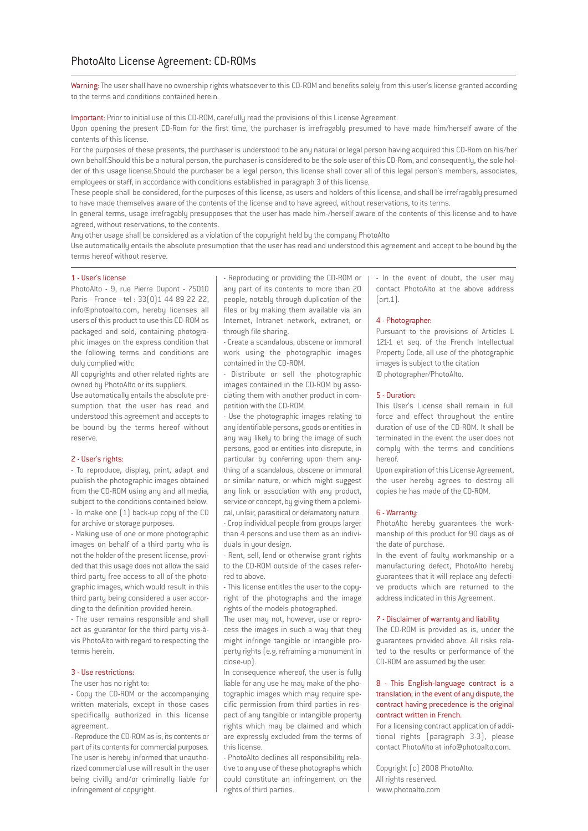Warning: The user shall have no ownership rights whatsoever to this CD-ROM and benefits solely from this user's license granted according to the terms and conditions contained herein.

Important: Prior to initial use of this CD-ROM, carefully read the provisions of this License Agreement.

Upon opening the present CD-Rom for the first time, the purchaser is irrefragably presumed to have made him/herself aware of the contents of this license.

For the purposes of these presents, the purchaser is understood to be any natural or legal person having acquired this CD-Rom on his/her own behalf.Should this be a natural person, the purchaser is considered to be the sole user of this CD-Rom, and consequently, the sole holder of this usage license.Should the purchaser be a legal person, this license shall cover all of this legal person's members, associates, employees or staff, in accordance with conditions established in paragraph 3 of this license.

These people shall be considered, for the purposes of this license, as users and holders of this license, and shall be irrefragably presumed to have made themselves aware of the contents of the license and to have agreed, without reservations, to its terms.

In general terms, usage irrefragably presupposes that the user has made him-/herself aware of the contents of this license and to have agreed, without reservations, to the contents.

Any other usage shall be considered as a violation of the copyright held by the company PhotoAlto

Use automatically entails the absolute presumption that the user has read and understood this agreement and accept to be bound by the terms hereof without reserve.

# 1 - User's license

PhotoAlto - 9, rue Pierre Dupont - 75010 Paris - France - tel : 33(0)1 44 89 22 22, info@photoalto.com, hereby licenses all users of this product to use this CD-ROM as packaged and sold, containing photographic images on the express condition that the following terms and conditions are dulu complied with:

All copyrights and other related rights are owned by PhotoAlto or its suppliers.

Use automatically entails the absolute presumption that the user has read and understood this agreement and accepts to be bound by the terms hereof without reserve.

# 2 - User's rights:

- To reproduce, display, print, adapt and publish the photographic images obtained from the CD-ROM using any and all media, subject to the conditions contained below. - To make one (1) back-up copy of the CD for archive or storage purposes.

- Making use of one or more photographic images on behalf of a third party who is not the holder of the present license, provided that this usage does not allow the said third party free access to all of the photographic images, which would result in this third party being considered a user according to the definition provided herein.

- The user remains responsible and shall act as guarantor for the third party vis-àvis PhotoAlto with regard to respecting the terms herein.

#### 3 - Use restrictions:

The user has no right to:

- Copy the CD-ROM or the accompanying written materials, except in those cases specifically authorized in this license agreement.

- Reproduce the CD-ROM as is, its contents or part of its contents for commercial purposes. The user is hereby informed that unauthorized commercial use will result in the user being civilly and/or criminally liable for infringement of copyright.

- Reproducing or providing the CD-ROM or any part of its contents to more than 20 people, notably through duplication of the files or by making them available via an Internet, Intranet network, extranet, or through file sharing.

- Create a scandalous, obscene or immoral work using the photographic images contained in the CD-ROM.

- Distribute or sell the photographic images contained in the CD-ROM by associating them with another product in competition with the CD-ROM.

- Use the photographic images relating to any identifiable persons, goods or entities in any way likely to bring the image of such persons, good or entities into disrepute, in particular by conferring upon them anything of a scandalous, obscene or immoral or similar nature, or which might suggest any link or association with any product, service or concept, by giving them a polemical, unfair, parasitical or defamatory nature. - Crop individual people from groups larger than 4 persons and use them as an indivi-

duals in your design. - Rent, sell, lend or otherwise grant rights

to the CD-ROM outside of the cases referred to above.

-This license entitles the user to the copyright of the photographs and the image rights of the models photographed.

The user may not, however, use or reprocess the images in such a way that they might infringe tangible or intangible property rights (e.g. reframing a monument in close-up).

In consequence whereof, the user is fully liable for any use he may make of the photographic images which may require specific permission from third parties in respect of any tangible or intangible property rights which may be claimed and which are expressly excluded from the terms of this license.

- PhotoAlto declines all responsibility relative to any use of these photographs which could constitute an infringement on the rights of third parties.

- In the event of doubt, the user may contact PhotoAlto at the above address  $\lceil$ art 1 $\rceil$ .

# 4 - Photographer:

Pursuant to the provisions of Articles L 121-1 et seq. of the French Intellectual Property Code, all use of the photographic images is subject to the citation © photographer/PhotoAlto.

### 5 - Duration:

This User's License shall remain in full force and effect throughout the entire duration of use of the CD-ROM. It shall be terminated in the event the user does not comply with the terms and conditions hereof.

Upon expiration of this License Agreement, the user hereby agrees to destroy all copies he has made of the CD-ROM.

### 6 - Warranty:

PhotoAlto hereby guarantees the workmanship of this product for 90 days as of the date of purchase.

In the event of faulty workmanship or a manufacturing defect, PhotoAlto hereby guarantees that it will replace any defective products which are returned to the address indicated in this Agreement.

### 7 - Disclaimer of warranty and liability

The CD-ROM is provided as is, under the guarantees provided above. All risks related to the results or performance of the CD-ROM are assumed by the user.

# 8 - This English-language contract is a translation; in the event of any dispute, the contract having precedence is the original contract written in French.

For a licensing contract application of additional rights (paragraph 3-3), please contact PhotoAlto at info@photoalto.com.

Copyright (c) 2008 PhotoAlto. All rights reserved. www.photoalto.com